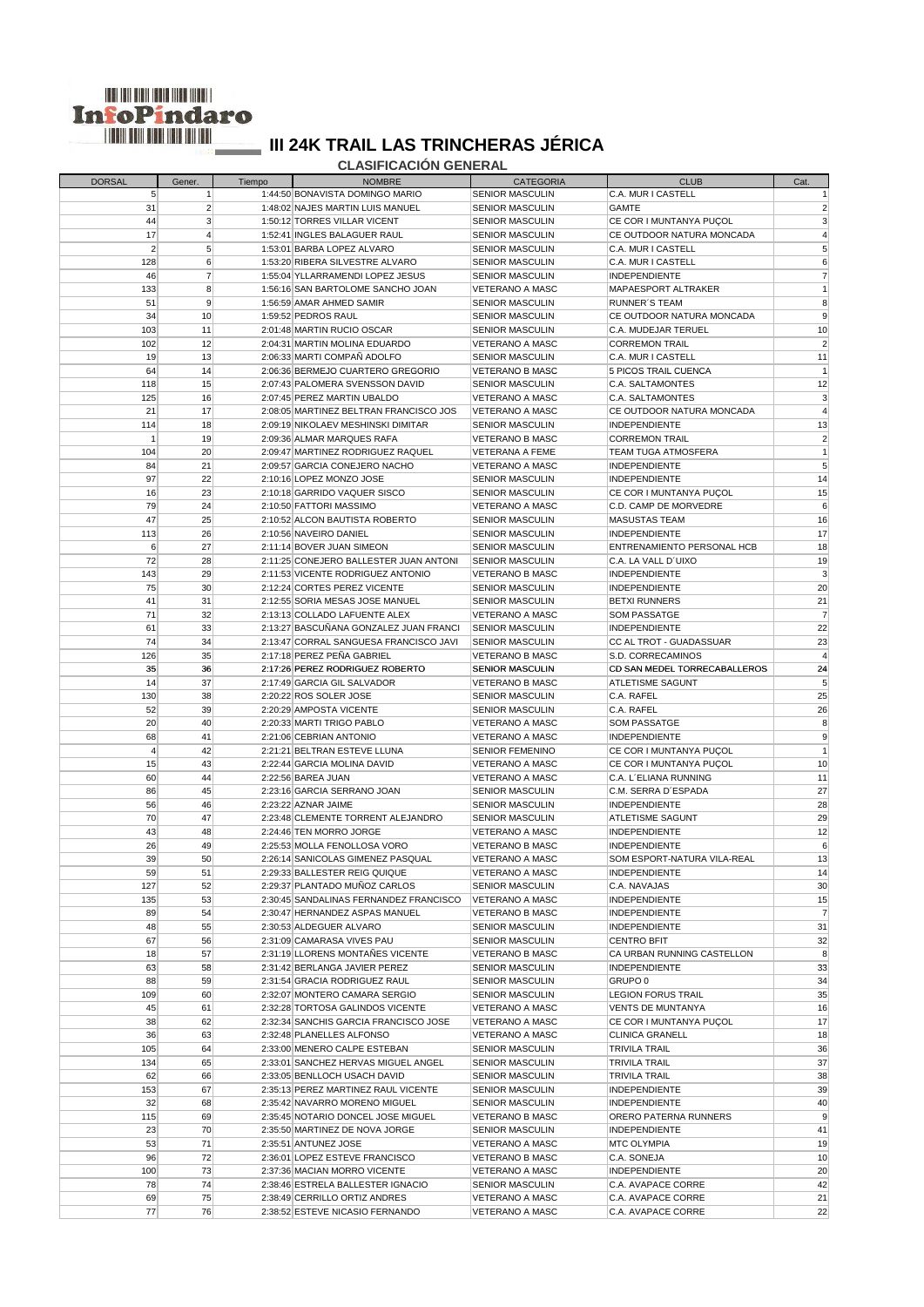

 **CLASIFICACIÓN GENERAL**

| <b>DORSAL</b>  | Gener.          | Tiempo | <b>NOMBRE</b>                          | <b>CATEGORIA</b>       | <b>CLUB</b>                    | Cat.            |
|----------------|-----------------|--------|----------------------------------------|------------------------|--------------------------------|-----------------|
| 5              | -1              |        | 1:44:50 BONAVISTA DOMINGO MARIO        | <b>SENIOR MASCULIN</b> | C.A. MUR I CASTELL             |                 |
| 31             | $\overline{2}$  |        | 1:48:02 NAJES MARTIN LUIS MANUEL       | <b>SENIOR MASCULIN</b> | GAMTE                          |                 |
| 44             | $\mathbf{3}$    |        | 1:50:12 TORRES VILLAR VICENT           | <b>SENIOR MASCULIN</b> | CE COR I MUNTANYA PUÇOL        | 3               |
| 17             | $\overline{4}$  |        | 1:52:41 INGLES BALAGUER RAUL           | <b>SENIOR MASCULIN</b> | CE OUTDOOR NATURA MONCADA      |                 |
| $\overline{2}$ | 5 <sup>5</sup>  |        | 1:53:01 BARBA LOPEZ ALVARO             | <b>SENIOR MASCULIN</b> | C.A. MUR I CASTELL             | 5               |
| 128            | $6 \mid$        |        | 1:53:20 RIBERA SILVESTRE ALVARO        | <b>SENIOR MASCULIN</b> | C.A. MUR I CASTELL             | 6               |
| 46             | $\overline{7}$  |        | 1:55:04 YLLARRAMENDI LOPEZ JESUS       | <b>SENIOR MASCULIN</b> | <b>INDEPENDIENTE</b>           | $\overline{7}$  |
| 133            | 8               |        | 1:56:16 SAN BARTOLOME SANCHO JOAN      | VETERANO A MASC        | <b>MAPAESPORT ALTRAKER</b>     |                 |
| 51             | $\overline{9}$  |        | 1:56:59 AMAR AHMED SAMIR               | <b>SENIOR MASCULIN</b> | RUNNER'S TEAM                  | 8               |
|                |                 |        |                                        |                        | CE OUTDOOR NATURA MONCADA      |                 |
| 34             | 10 <sup>1</sup> |        | 1:59:52 PEDROS RAUL                    | <b>SENIOR MASCULIN</b> |                                | 9               |
| 103            | 11              |        | 2:01:48 MARTIN RUCIO OSCAR             | <b>SENIOR MASCULIN</b> | C.A. MUDEJAR TERUEL            | 10              |
| 102            | 12              |        | 2:04:31 MARTIN MOLINA EDUARDO          | VETERANO A MASC        | <b>CORREMON TRAIL</b>          | $\overline{2}$  |
| 19             | 13              |        | 2:06:33 MARTI COMPAÑ ADOLFO            | <b>SENIOR MASCULIN</b> | C.A. MUR I CASTELL             | 11              |
| 64             | 14              |        | 2:06:36 BERMEJO CUARTERO GREGORIO      | VETERANO B MASC        | 5 PICOS TRAIL CUENCA           |                 |
| 118            | 15              |        | 2:07:43 PALOMERA SVENSSON DAVID        | <b>SENIOR MASCULIN</b> | C.A. SALTAMONTES               | 12              |
| 125            | 16              |        | 2:07:45 PEREZ MARTIN UBALDO            | VETERANO A MASC        | C.A. SALTAMONTES               | 3               |
| 21             | 17              |        | 2:08:05 MARTINEZ BELTRAN FRANCISCO JOS | VETERANO A MASC        | CE OUTDOOR NATURA MONCADA      |                 |
| 114            | 18              |        | 2:09:19 NIKOLAEV MESHINSKI DIMITAR     | <b>SENIOR MASCULIN</b> | INDEPENDIENTE                  | 13              |
| 1              | 19              |        | 2:09:36 ALMAR MARQUES RAFA             | VETERANO B MASC        | CORREMON TRAIL                 | 2               |
| 104            | 20              |        | 2:09:47 MARTINEZ RODRIGUEZ RAQUEL      | <b>VETERANA A FEME</b> | TEAM TUGA ATMOSFERA            |                 |
| 84             | 21              |        | 2:09:57 GARCIA CONEJERO NACHO          | VETERANO A MASC        | <b>INDEPENDIENTE</b>           | 5               |
| 97             | 22              |        | 2:10:16 LOPEZ MONZO JOSE               | <b>SENIOR MASCULIN</b> | <b>INDEPENDIENTE</b>           | 14              |
| 16             | 23              |        | 2:10:18 GARRIDO VAQUER SISCO           | <b>SENIOR MASCULIN</b> | CE COR I MUNTANYA PUCOL        | 15              |
|                |                 |        |                                        |                        |                                |                 |
| 79             | 24              |        | 2:10:50 FATTORI MASSIMO                | VETERANO A MASC        | C.D. CAMP DE MORVEDRE          | 6               |
| 47             | 25              |        | 2:10:52 ALCON BAUTISTA ROBERTO         | <b>SENIOR MASCULIN</b> | <b>MASUSTAS TEAM</b>           | 16              |
| 113            | 26              |        | 2:10:56 NAVEIRO DANIEL                 | <b>SENIOR MASCULIN</b> | <b>INDEPENDIENTE</b>           | 17              |
| 6              | 27              |        | 2:11:14 BOVER JUAN SIMEON              | <b>SENIOR MASCULIN</b> | ENTRENAMIENTO PERSONAL HCB     | 18              |
| 72             | 28              |        | 2:11:25 CONEJERO BALLESTER JUAN ANTONI | <b>SENIOR MASCULIN</b> | C.A. LA VALL D'UIXO            | 19              |
| 143            | 29              |        | 2:11:53 VICENTE RODRIGUEZ ANTONIO      | VETERANO B MASC        | <b>INDEPENDIENTE</b>           | 3               |
| 75             | 30 <sup>°</sup> |        | 2:12:24 CORTES PEREZ VICENTE           | <b>SENIOR MASCULIN</b> | <b>INDEPENDIENTE</b>           | 20              |
| 41             | 31              |        | 2:12:55 SORIA MESAS JOSE MANUEL        | <b>SENIOR MASCULIN</b> | <b>BETXI RUNNERS</b>           | 21              |
| 71             | 32              |        | 2:13:13 COLLADO LAFUENTE ALEX          | VETERANO A MASC        | <b>SOM PASSATGE</b>            | 7               |
| 61             | 33              |        | 2:13:27 BASCUÑANA GONZALEZ JUAN FRANCI | <b>SENIOR MASCULIN</b> | <b>INDEPENDIENTE</b>           | 22              |
| 74             | 34              |        | 2:13:47 CORRAL SANGUESA FRANCISCO JAVI | <b>SENIOR MASCULIN</b> | <b>CC AL TROT - GUADASSUAR</b> | 23              |
| 126            | 35              |        | 2:17:18 PEREZ PEÑA GABRIEL             | <b>VETERANO B MASC</b> | S.D. CORRECAMINOS              | 4               |
| 35             | 36              |        | 2:17:26 PEREZ RODRIGUEZ ROBERTO        | SENIOR MASCULIN        | CD SAN MEDEL TORRECABALLEROS   | 24              |
| 14             | 37              |        | 2:17:49 GARCIA GIL SALVADOR            | VETERANO B MASC        | ATLETISME SAGUNT               | 5               |
| 130            |                 |        | 2:20:22 ROS SOLER JOSE                 | <b>SENIOR MASCULIN</b> | C.A. RAFEL                     | 25              |
|                | 38              |        |                                        |                        |                                |                 |
| 52             | 39              |        | 2:20:29 AMPOSTA VICENTE                | <b>SENIOR MASCULIN</b> | C.A. RAFEL                     | 26              |
| 20             | 40              |        | 2:20:33 MARTI TRIGO PABLO              | VETERANO A MASC        | <b>SOM PASSATGE</b>            | 8               |
| 68             | 41              |        | 2:21:06 CEBRIAN ANTONIO                | VETERANO A MASC        | <b>INDEPENDIENTE</b>           | 9               |
| $\overline{4}$ | 42              |        | 2:21:21 BELTRAN ESTEVE LLUNA           | <b>SENIOR FEMENINO</b> | CE COR I MUNTANYA PUÇOL        | $\overline{1}$  |
| 15             | 43              |        | 2:22:44 GARCIA MOLINA DAVID            | VETERANO A MASC        | CE COR I MUNTANYA PUÇOL        | 10              |
| 60             | 44              |        | 2:22:56 BAREA JUAN                     | VETERANO A MASC        | C.A. L'ELIANA RUNNING          | 11              |
| 86             | 45              |        | 2:23:16 GARCIA SERRANO JOAN            | <b>SENIOR MASCULIN</b> | C.M. SERRA D'ESPADA            | 27              |
| 56             | 46              |        | 2:23:22 AZNAR JAIME                    | <b>SENIOR MASCULIN</b> | <b>INDEPENDIENTE</b>           | 28              |
| 70             | 47              |        | 2:23:48 CLEMENTE TORRENT ALEJANDRO     | <b>SENIOR MASCULIN</b> | <b>ATLETISME SAGUNT</b>        | 29              |
| 43             | 48              |        | 2:24:46 TEN MORRO JORGE                | VETERANO A MASC        | <b>INDEPENDIENTE</b>           | 12              |
| 26             | 49              |        | 2:25:53 MOLLA FENOLLOSA VORO           | VETERANO B MASC        | <b>INDEPENDIENTE</b>           | 6               |
| 39             | 50              |        | 2:26:14 SANICOLAS GIMENEZ PASQUAL      | VETERANO A MASC        | SOM ESPORT-NATURA VILA-REAL    | 13              |
| 59             | 51              |        | 2:29:33 BALLESTER REIG QUIQUE          | VETERANO A MASC        | <b>INDEPENDIENTE</b>           | 14              |
| 127            | 52              |        | 2:29:37 PLANTADO MUÑOZ CARLOS          | <b>SENIOR MASCULIN</b> | C.A. NAVAJAS                   | 30              |
| 135            | 53              |        | 2:30:45 SANDALINAS FERNANDEZ FRANCISCO | <b>VETERANO A MASC</b> | INDEPENDIENTE                  | 15              |
| 89             | 54              |        | 2:30:47 HERNANDEZ ASPAS MANUEL         | VETERANO B MASC        | <b>INDEPENDIENTE</b>           | $\overline{7}$  |
| 48             | 55              |        | 2:30:53 ALDEGUER ALVARO                | <b>SENIOR MASCULIN</b> | <b>INDEPENDIENTE</b>           | 31              |
|                |                 |        |                                        |                        |                                | 32              |
| 67             | 56              |        | 2:31:09 CAMARASA VIVES PAU             | <b>SENIOR MASCULIN</b> | <b>CENTRO BFIT</b>             |                 |
| 18             | 57              |        | 2:31:19 LLORENS MONTANES VICENTE       | VETERANO B MASC        | CA URBAN RUNNING CASTELLON     | 8               |
| 63             | 58              |        | 2:31:42 BERLANGA JAVIER PEREZ          | <b>SENIOR MASCULIN</b> | <b>INDEPENDIENTE</b>           | 33              |
| 88             | 59              |        | 2:31:54 GRACIA RODRIGUEZ RAUL          | <b>SENIOR MASCULIN</b> | GRUPO 0                        | 34              |
| 109            | 60              |        | 2:32:07 MONTERO CAMARA SERGIO          | <b>SENIOR MASCULIN</b> | <b>LEGION FORUS TRAIL</b>      | 35              |
| 45             | 61              |        | 2:32:28 TORTOSA GALINDOS VICENTE       | VETERANO A MASC        | <b>VENTS DE MUNTANYA</b>       | 16              |
| 38             | 62              |        | 2:32:34 SANCHIS GARCIA FRANCISCO JOSE  | VETERANO A MASC        | CE COR I MUNTANYA PUÇOL        | 17              |
| 36             | 63              |        | 2:32:48 PLANELLES ALFONSO              | VETERANO A MASC        | <b>CLINICA GRANELL</b>         | 18              |
| 105            | 64              |        | 2:33:00 MENERO CALPE ESTEBAN           | <b>SENIOR MASCULIN</b> | TRIVILA TRAIL                  | 36              |
| 134            | 65              |        | 2:33:01 SANCHEZ HERVAS MIGUEL ANGEL    | <b>SENIOR MASCULIN</b> | <b>TRIVILA TRAIL</b>           | 37              |
| 62             | 66              |        | 2:33:05 BENLLOCH USACH DAVID           | <b>SENIOR MASCULIN</b> | TRIVILA TRAIL                  | 38              |
| 153            | 67              |        | 2:35:13 PEREZ MARTINEZ RAUL VICENTE    | <b>SENIOR MASCULIN</b> | <b>INDEPENDIENTE</b>           | 39              |
| 32             | 68              |        | 2:35:42 NAVARRO MORENO MIGUEL          | <b>SENIOR MASCULIN</b> | <b>INDEPENDIENTE</b>           | 40              |
| 115            | 69              |        | 2:35:45 NOTARIO DONCEL JOSE MIGUEL     | VETERANO B MASC        | ORERO PATERNA RUNNERS          | 9               |
| 23             | 70              |        | 2:35:50 MARTINEZ DE NOVA JORGE         | <b>SENIOR MASCULIN</b> | <b>INDEPENDIENTE</b>           | 41              |
| 53             |                 |        | 2:35:51 ANTUNEZ JOSE                   |                        |                                | 19              |
|                | 71              |        |                                        | VETERANO A MASC        | MTC OLYMPIA                    |                 |
| 96             | 72              |        | 2:36:01 LOPEZ ESTEVE FRANCISCO         | <b>VETERANO B MASC</b> | C.A. SONEJA                    | 10 <sup>1</sup> |
| 100            | 73              |        | 2:37:36 MACIAN MORRO VICENTE           | VETERANO A MASC        | INDEPENDIENTE                  | 20              |
| 78             | 74              |        | 2:38:46 ESTRELA BALLESTER IGNACIO      | <b>SENIOR MASCULIN</b> | C.A. AVAPACE CORRE             | 42              |
| 69             | 75              |        | 2:38:49 CERRILLO ORTIZ ANDRES          | <b>VETERANO A MASC</b> | C.A. AVAPACE CORRE             | 21              |
| 77             | 76              |        | 2:38:52 ESTEVE NICASIO FERNANDO        | <b>VETERANO A MASC</b> | C.A. AVAPACE CORRE             | 22              |